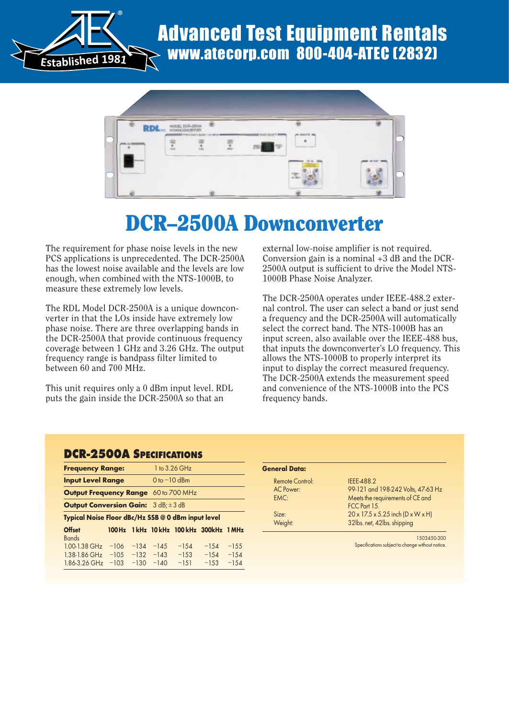

### Advanced Test Equipment Rentals www.atecorp.com 800-404-ATEC (2832)



## DCR–2500A Downconverter

The requirement for phase noise levels in the new PCS applications is unprecedented. The DCR-2500A has the lowest noise available and the levels are low enough, when combined with the NTS-1000B, to measure these extremely low levels.

The RDL Model DCR-2500A is a unique downconverter in that the LOs inside have extremely low phase noise. There are three overlapping bands in the DCR-2500A that provide continuous frequency coverage between 1 GHz and 3.26 GHz. The output frequency range is bandpass filter limited to between 60 and 700 MHz.

This unit requires only a 0 dBm input level. RDL puts the gain inside the DCR-2500A so that an

external low-noise amplifier is not required. Conversion gain is a nominal +3 dB and the DCR-2500A output is sufficient to drive the Model NTS-1000B Phase Noise Analyzer.

The DCR-2500A operates under IEEE-488.2 external control. The user can select a band or just send a frequency and the DCR-2500A will automatically select the correct band. The NTS-1000B has an input screen, also available over the IEEE-488 bus, that inputs the downconverter's LO frequency. This allows the NTS-1000B to properly interpret its input to display the correct measured frequency. The DCR-2500A extends the measurement speed and convenience of the NTS-1000B into the PCS frequency bands.

#### DCR-2500A SPECIFICATIONS

| <b>Frequency Range:</b>                            |                   |        |                       | 1 to 3.26 GHz                       |                   |                    |
|----------------------------------------------------|-------------------|--------|-----------------------|-------------------------------------|-------------------|--------------------|
| <b>Input Level Range</b>                           |                   |        | $0 to -10$ dBm        |                                     |                   |                    |
| <b>Output Frequency Range</b> 60 to 700 MHz        |                   |        |                       |                                     |                   |                    |
| <b>Output Conversion Gain:</b> $3 dB: \pm 3 dB$    |                   |        |                       |                                     |                   |                    |
| Typical Noise Floor dBc/Hz SSB @ 0 dBm input level |                   |        |                       |                                     |                   |                    |
| <b>Offset</b>                                      |                   |        |                       | 100Hz 1kHz 10kHz 100kHz 300kHz 1MHz |                   |                    |
| <b>Bands</b><br>$1.00 - 1.38$ GHz                  | $-106$            | $-134$ | $-14.5$               | $-1.54$                             | $-1.54$           | $-1.5.5$           |
| $1.38 - 1.86$ GHz<br>1.86-3.26 GHz                 | $-10.5$<br>$-103$ | $-130$ | $-132 -143$<br>$-140$ | $-153$<br>$-1.51$                   | $-154$<br>$-1.53$ | $-1.54$<br>$-1.54$ |

| <b>General Data:</b> |                                                  |
|----------------------|--------------------------------------------------|
| Remote Control:      | IEEE-488.2                                       |
| AC Power:            | 99-121 and 198-242 Volts, 47-63 Hz               |
| EMC:                 | Meets the requirements of CE and                 |
|                      | FCC Part 15.                                     |
| Size <sup>2</sup>    | $20 \times 17.5 \times 5.25$ inch (D x W x H)    |
| Weight:              | 32lbs. net, 42lbs. shipping                      |
|                      | 1503450-300                                      |
|                      | Specifications subject to change without notice. |